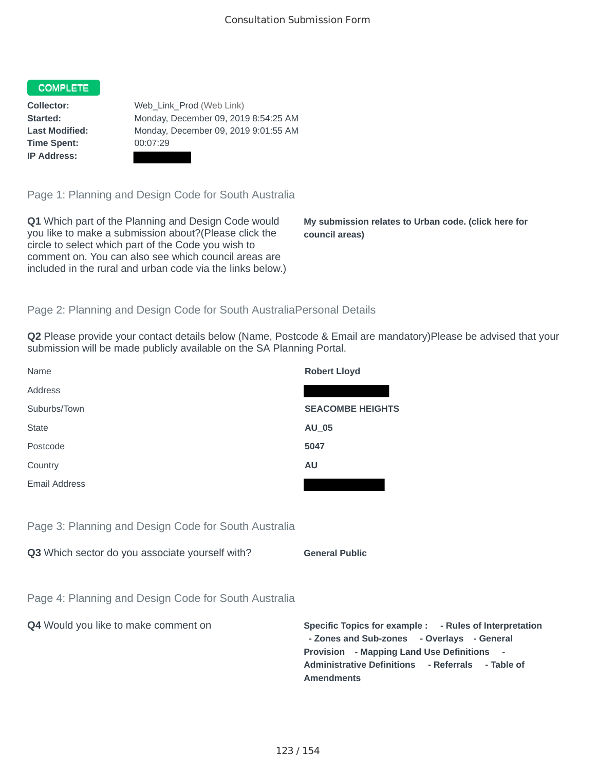## **COMPLETE**

**Time Spent:** 00:07:29 **IP Address:**

**Collector:** Web Link Prod (Web Link) **Started:** Monday, December 09, 2019 8:54:25 AM **Last Modified:** Monday, December 09, 2019 9:01:55 AM

Page 1: Planning and Design Code for South Australia

**Q1** Which part of the Planning and Design Code would you like to make a submission about?(Please click the circle to select which part of the Code you wish to comment on. You can also see which council areas are included in the rural and urban code via the links below.)

**My submission relates to Urban code. (click here for council areas)**

## Page 2: Planning and Design Code for South AustraliaPersonal Details

**Q2** Please provide your contact details below (Name, Postcode & Email are mandatory)Please be advised that your submission will be made publicly available on the SA Planning Portal.

| Name          | <b>Robert Lloyd</b>     |
|---------------|-------------------------|
| Address       |                         |
| Suburbs/Town  | <b>SEACOMBE HEIGHTS</b> |
| <b>State</b>  | AU_05                   |
| Postcode      | 5047                    |
| Country       | <b>AU</b>               |
| Email Address |                         |
|               |                         |

Page 3: Planning and Design Code for South Australia

**Q3** Which sector do you associate yourself with? **General Public** 

Page 4: Planning and Design Code for South Australia

**Q4** Would you like to make comment on **Specific Topics for example : - Rules of Interpretation - Zones and Sub-zones - Overlays - General Provision - Mapping Land Use Definitions - Administrative Definitions - Referrals - Table of Amendments**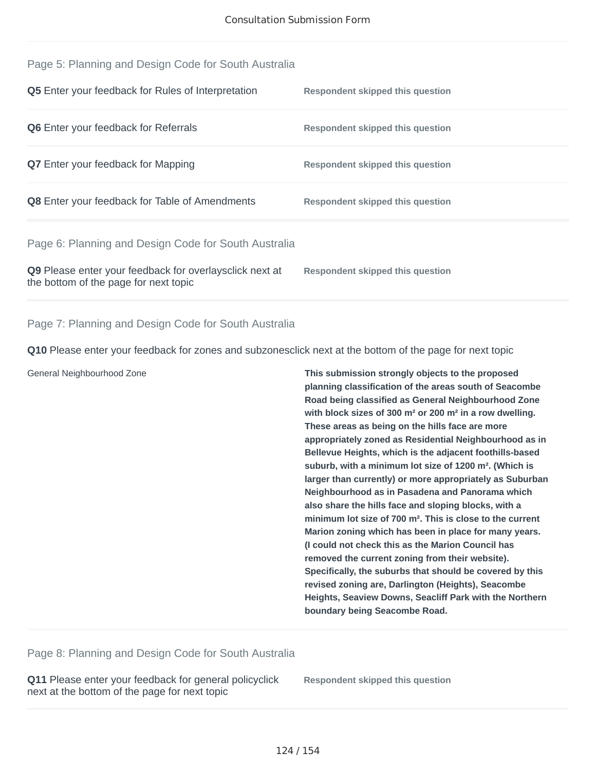| Q9 Please enter your feedback for overlaysclick next at<br>the bottom of the page for next topic | Respondent skipped this question |
|--------------------------------------------------------------------------------------------------|----------------------------------|
| Page 6: Planning and Design Code for South Australia                                             |                                  |
| Q8 Enter your feedback for Table of Amendments                                                   | Respondent skipped this question |
| <b>Q7</b> Enter your feedback for Mapping                                                        | Respondent skipped this question |
| <b>Q6</b> Enter your feedback for Referrals                                                      | Respondent skipped this question |
| <b>Q5</b> Enter your feedback for Rules of Interpretation                                        | Respondent skipped this question |
| Page 5: Planning and Design Code for South Australia                                             |                                  |

Page 7: Planning and Design Code for South Australia

**Q10** Please enter your feedback for zones and subzonesclick next at the bottom of the page for next topic

General Neighbourhood Zone **This submission strongly objects to the proposed planning classification of the areas south of Seacombe Road being classified as General Neighbourhood Zone with block sizes of 300 m² or 200 m² in a row dwelling. These areas as being on the hills face are more appropriately zoned as Residential Neighbourhood as in Bellevue Heights, which is the adjacent foothills-based suburb, with a minimum lot size of 1200 m². (Which is larger than currently) or more appropriately as Suburban Neighbourhood as in Pasadena and Panorama which also share the hills face and sloping blocks, with a minimum lot size of 700 m². This is close to the current Marion zoning which has been in place for many years. (I could not check this as the Marion Council has removed the current zoning from their website). Specifically, the suburbs that should be covered by this revised zoning are, Darlington (Heights), Seacombe Heights, Seaview Downs, Seacliff Park with the Northern boundary being Seacombe Road.**

Page 8: Planning and Design Code for South Australia

**Q11** Please enter your feedback for general policyclick next at the bottom of the page for next topic

**Respondent skipped this question**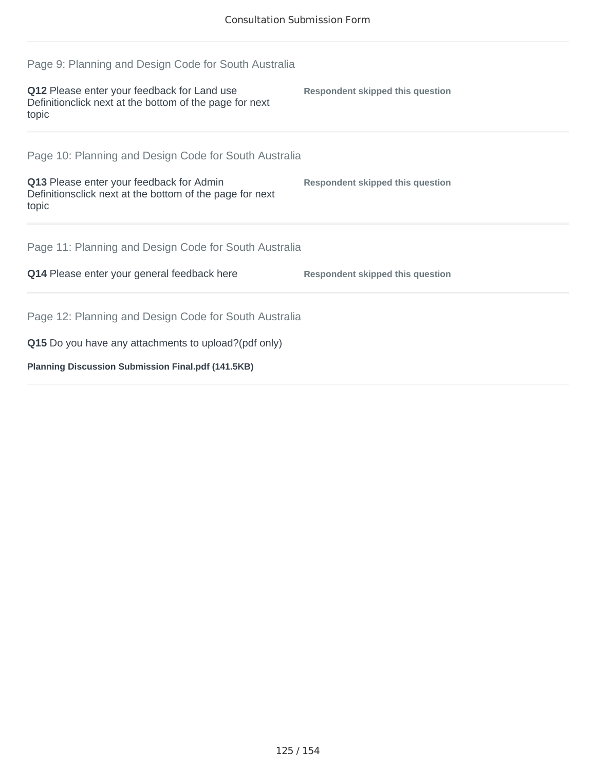| Page 9: Planning and Design Code for South Australia                                                            |                                         |  |
|-----------------------------------------------------------------------------------------------------------------|-----------------------------------------|--|
| Q12 Please enter your feedback for Land use<br>Definitionclick next at the bottom of the page for next<br>topic | Respondent skipped this question        |  |
| Page 10: Planning and Design Code for South Australia                                                           |                                         |  |
| Q13 Please enter your feedback for Admin<br>Definitionsclick next at the bottom of the page for next<br>topic   | Respondent skipped this question        |  |
| Page 11: Planning and Design Code for South Australia                                                           |                                         |  |
| Q14 Please enter your general feedback here                                                                     | <b>Respondent skipped this question</b> |  |
| Page 12: Planning and Design Code for South Australia                                                           |                                         |  |
| Q15 Do you have any attachments to upload?(pdf only)                                                            |                                         |  |
| <b>Planning Discussion Submission Final.pdf (141.5KB)</b>                                                       |                                         |  |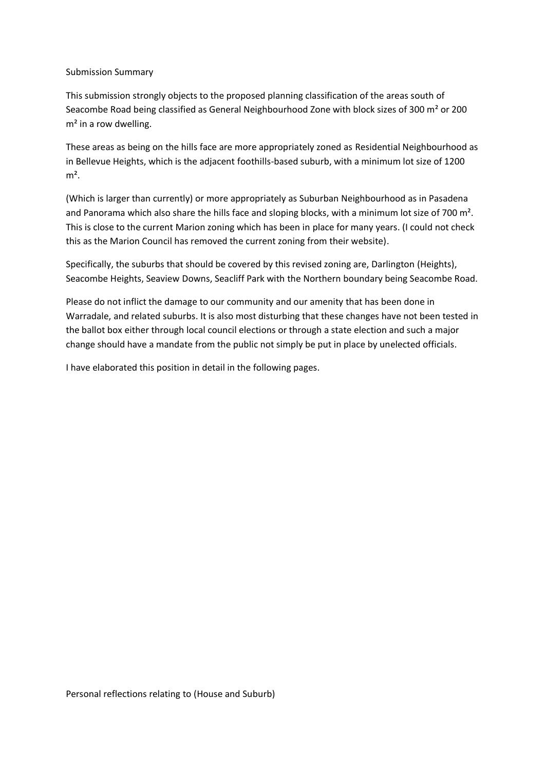## Submission Summary

This submission strongly objects to the proposed planning classification of the areas south of Seacombe Road being classified as General Neighbourhood Zone with block sizes of 300 m² or 200  $m<sup>2</sup>$  in a row dwelling.

These areas as being on the hills face are more appropriately zoned as Residential Neighbourhood as in Bellevue Heights, which is the adjacent foothills-based suburb, with a minimum lot size of 1200  $m<sup>2</sup>$ .

(Which is larger than currently) or more appropriately as Suburban Neighbourhood as in Pasadena and Panorama which also share the hills face and sloping blocks, with a minimum lot size of 700 m<sup>2</sup>. This is close to the current Marion zoning which has been in place for many years. (I could not check this as the Marion Council has removed the current zoning from their website).

Specifically, the suburbs that should be covered by this revised zoning are, Darlington (Heights), Seacombe Heights, Seaview Downs, Seacliff Park with the Northern boundary being Seacombe Road.

Please do not inflict the damage to our community and our amenity that has been done in Warradale, and related suburbs. It is also most disturbing that these changes have not been tested in the ballot box either through local council elections or through a state election and such a major change should have a mandate from the public not simply be put in place by unelected officials.

I have elaborated this position in detail in the following pages.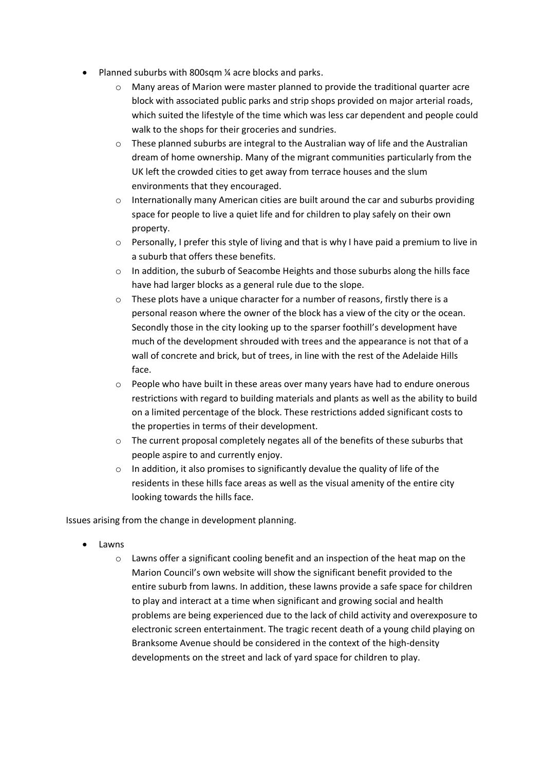- Planned suburbs with 800sqm ¼ acre blocks and parks.
	- $\circ$  Many areas of Marion were master planned to provide the traditional quarter acre block with associated public parks and strip shops provided on major arterial roads, which suited the lifestyle of the time which was less car dependent and people could walk to the shops for their groceries and sundries.
	- $\circ$  These planned suburbs are integral to the Australian way of life and the Australian dream of home ownership. Many of the migrant communities particularly from the UK left the crowded cities to get away from terrace houses and the slum environments that they encouraged.
	- o Internationally many American cities are built around the car and suburbs providing space for people to live a quiet life and for children to play safely on their own property.
	- $\circ$  Personally, I prefer this style of living and that is why I have paid a premium to live in a suburb that offers these benefits.
	- o In addition, the suburb of Seacombe Heights and those suburbs along the hills face have had larger blocks as a general rule due to the slope.
	- o These plots have a unique character for a number of reasons, firstly there is a personal reason where the owner of the block has a view of the city or the ocean. Secondly those in the city looking up to the sparser foothill's development have much of the development shrouded with trees and the appearance is not that of a wall of concrete and brick, but of trees, in line with the rest of the Adelaide Hills face.
	- $\circ$  People who have built in these areas over many years have had to endure onerous restrictions with regard to building materials and plants as well as the ability to build on a limited percentage of the block. These restrictions added significant costs to the properties in terms of their development.
	- $\circ$  The current proposal completely negates all of the benefits of these suburbs that people aspire to and currently enjoy.
	- o In addition, it also promises to significantly devalue the quality of life of the residents in these hills face areas as well as the visual amenity of the entire city looking towards the hills face.

Issues arising from the change in development planning.

- Lawns
	- $\circ$  Lawns offer a significant cooling benefit and an inspection of the heat map on the Marion Council's own website will show the significant benefit provided to the entire suburb from lawns. In addition, these lawns provide a safe space for children to play and interact at a time when significant and growing social and health problems are being experienced due to the lack of child activity and overexposure to electronic screen entertainment. The tragic recent death of a young child playing on Branksome Avenue should be considered in the context of the high-density developments on the street and lack of yard space for children to play.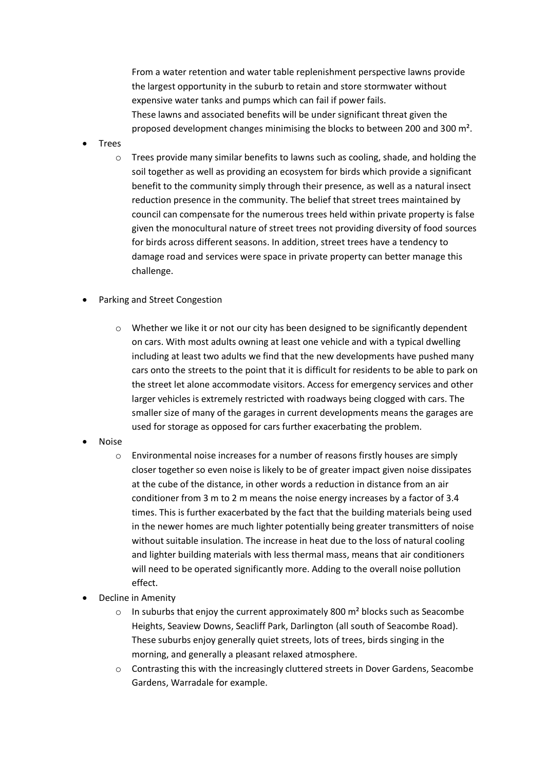From a water retention and water table replenishment perspective lawns provide the largest opportunity in the suburb to retain and store stormwater without expensive water tanks and pumps which can fail if power fails. These lawns and associated benefits will be under significant threat given the proposed development changes minimising the blocks to between 200 and 300 m².

- Trees
	- $\circ$  Trees provide many similar benefits to lawns such as cooling, shade, and holding the soil together as well as providing an ecosystem for birds which provide a significant benefit to the community simply through their presence, as well as a natural insect reduction presence in the community. The belief that street trees maintained by council can compensate for the numerous trees held within private property is false given the monocultural nature of street trees not providing diversity of food sources for birds across different seasons. In addition, street trees have a tendency to damage road and services were space in private property can better manage this challenge.
- Parking and Street Congestion
	- $\circ$  Whether we like it or not our city has been designed to be significantly dependent on cars. With most adults owning at least one vehicle and with a typical dwelling including at least two adults we find that the new developments have pushed many cars onto the streets to the point that it is difficult for residents to be able to park on the street let alone accommodate visitors. Access for emergency services and other larger vehicles is extremely restricted with roadways being clogged with cars. The smaller size of many of the garages in current developments means the garages are used for storage as opposed for cars further exacerbating the problem.
- Noise
	- $\circ$  Environmental noise increases for a number of reasons firstly houses are simply closer together so even noise is likely to be of greater impact given noise dissipates at the cube of the distance, in other words a reduction in distance from an air conditioner from 3 m to 2 m means the noise energy increases by a factor of 3.4 times. This is further exacerbated by the fact that the building materials being used in the newer homes are much lighter potentially being greater transmitters of noise without suitable insulation. The increase in heat due to the loss of natural cooling and lighter building materials with less thermal mass, means that air conditioners will need to be operated significantly more. Adding to the overall noise pollution effect.
- Decline in Amenity
	- $\circ$  In suburbs that enjoy the current approximately 800 m<sup>2</sup> blocks such as Seacombe Heights, Seaview Downs, Seacliff Park, Darlington (all south of Seacombe Road). These suburbs enjoy generally quiet streets, lots of trees, birds singing in the morning, and generally a pleasant relaxed atmosphere.
	- o Contrasting this with the increasingly cluttered streets in Dover Gardens, Seacombe Gardens, Warradale for example.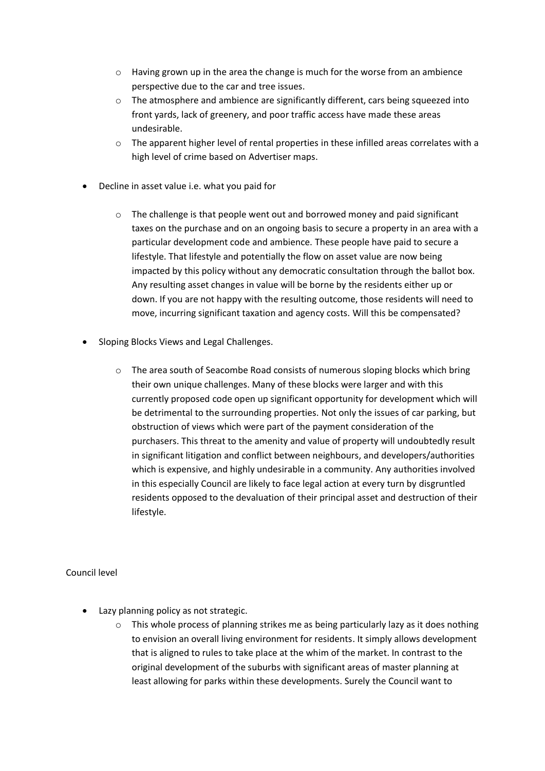- $\circ$  Having grown up in the area the change is much for the worse from an ambience perspective due to the car and tree issues.
- $\circ$  The atmosphere and ambience are significantly different, cars being squeezed into front yards, lack of greenery, and poor traffic access have made these areas undesirable.
- $\circ$  The apparent higher level of rental properties in these infilled areas correlates with a high level of crime based on Advertiser maps.
- Decline in asset value i.e. what you paid for
	- o The challenge is that people went out and borrowed money and paid significant taxes on the purchase and on an ongoing basis to secure a property in an area with a particular development code and ambience. These people have paid to secure a lifestyle. That lifestyle and potentially the flow on asset value are now being impacted by this policy without any democratic consultation through the ballot box. Any resulting asset changes in value will be borne by the residents either up or down. If you are not happy with the resulting outcome, those residents will need to move, incurring significant taxation and agency costs. Will this be compensated?
- Sloping Blocks Views and Legal Challenges.
	- o The area south of Seacombe Road consists of numerous sloping blocks which bring their own unique challenges. Many of these blocks were larger and with this currently proposed code open up significant opportunity for development which will be detrimental to the surrounding properties. Not only the issues of car parking, but obstruction of views which were part of the payment consideration of the purchasers. This threat to the amenity and value of property will undoubtedly result in significant litigation and conflict between neighbours, and developers/authorities which is expensive, and highly undesirable in a community. Any authorities involved in this especially Council are likely to face legal action at every turn by disgruntled residents opposed to the devaluation of their principal asset and destruction of their lifestyle.

## Council level

- Lazy planning policy as not strategic.
	- o This whole process of planning strikes me as being particularly lazy as it does nothing to envision an overall living environment for residents. It simply allows development that is aligned to rules to take place at the whim of the market. In contrast to the original development of the suburbs with significant areas of master planning at least allowing for parks within these developments. Surely the Council want to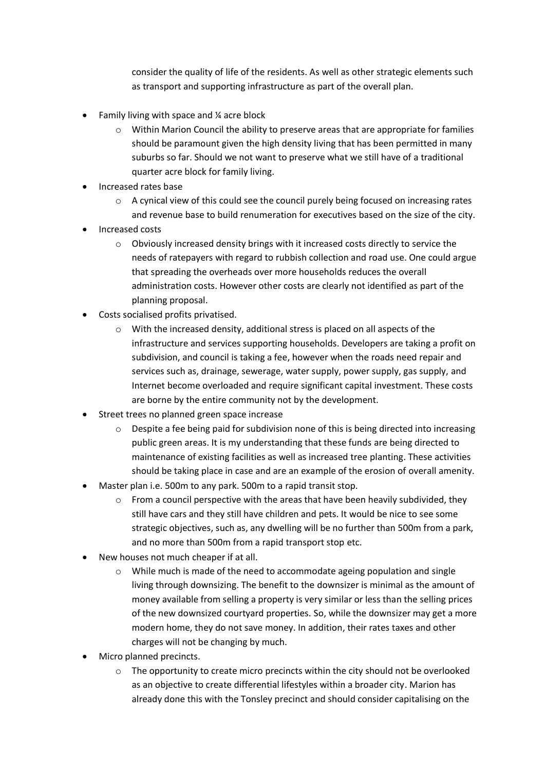consider the quality of life of the residents. As well as other strategic elements such as transport and supporting infrastructure as part of the overall plan.

- Family living with space and ¼ acre block
	- $\circ$  Within Marion Council the ability to preserve areas that are appropriate for families should be paramount given the high density living that has been permitted in many suburbs so far. Should we not want to preserve what we still have of a traditional quarter acre block for family living.
- Increased rates base
	- o A cynical view of this could see the council purely being focused on increasing rates and revenue base to build renumeration for executives based on the size of the city.
- Increased costs
	- $\circ$  Obviously increased density brings with it increased costs directly to service the needs of ratepayers with regard to rubbish collection and road use. One could argue that spreading the overheads over more households reduces the overall administration costs. However other costs are clearly not identified as part of the planning proposal.
- Costs socialised profits privatised.
	- o With the increased density, additional stress is placed on all aspects of the infrastructure and services supporting households. Developers are taking a profit on subdivision, and council is taking a fee, however when the roads need repair and services such as, drainage, sewerage, water supply, power supply, gas supply, and Internet become overloaded and require significant capital investment. These costs are borne by the entire community not by the development.
- Street trees no planned green space increase
	- $\circ$  Despite a fee being paid for subdivision none of this is being directed into increasing public green areas. It is my understanding that these funds are being directed to maintenance of existing facilities as well as increased tree planting. These activities should be taking place in case and are an example of the erosion of overall amenity.
- Master plan i.e. 500m to any park. 500m to a rapid transit stop.
	- $\circ$  From a council perspective with the areas that have been heavily subdivided, they still have cars and they still have children and pets. It would be nice to see some strategic objectives, such as, any dwelling will be no further than 500m from a park, and no more than 500m from a rapid transport stop etc.
- New houses not much cheaper if at all.
	- o While much is made of the need to accommodate ageing population and single living through downsizing. The benefit to the downsizer is minimal as the amount of money available from selling a property is very similar or less than the selling prices of the new downsized courtyard properties. So, while the downsizer may get a more modern home, they do not save money. In addition, their rates taxes and other charges will not be changing by much.
- Micro planned precincts.
	- $\circ$  The opportunity to create micro precincts within the city should not be overlooked as an objective to create differential lifestyles within a broader city. Marion has already done this with the Tonsley precinct and should consider capitalising on the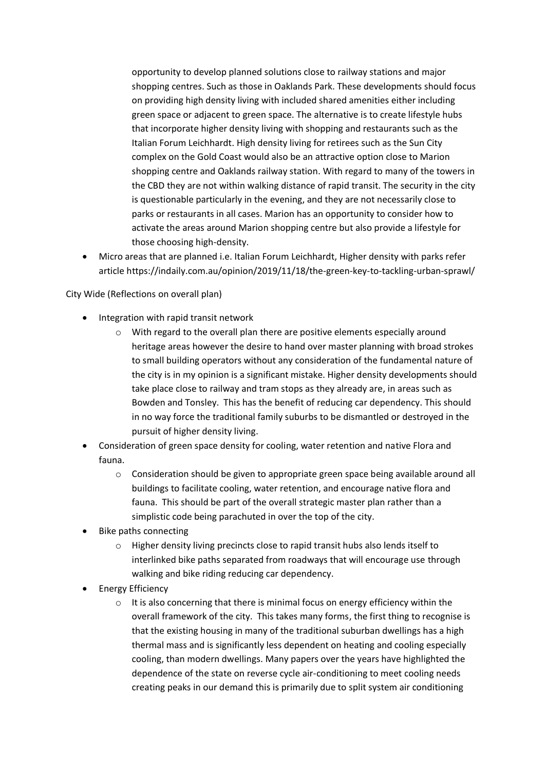opportunity to develop planned solutions close to railway stations and major shopping centres. Such as those in Oaklands Park. These developments should focus on providing high density living with included shared amenities either including green space or adjacent to green space. The alternative is to create lifestyle hubs that incorporate higher density living with shopping and restaurants such as the Italian Forum Leichhardt. High density living for retirees such as the Sun City complex on the Gold Coast would also be an attractive option close to Marion shopping centre and Oaklands railway station. With regard to many of the towers in the CBD they are not within walking distance of rapid transit. The security in the city is questionable particularly in the evening, and they are not necessarily close to parks or restaurants in all cases. Marion has an opportunity to consider how to activate the areas around Marion shopping centre but also provide a lifestyle for those choosing high-density.

• Micro areas that are planned i.e. Italian Forum Leichhardt, Higher density with parks refer article https://indaily.com.au/opinion/2019/11/18/the-green-key-to-tackling-urban-sprawl/

City Wide (Reflections on overall plan)

- Integration with rapid transit network
	- o With regard to the overall plan there are positive elements especially around heritage areas however the desire to hand over master planning with broad strokes to small building operators without any consideration of the fundamental nature of the city is in my opinion is a significant mistake. Higher density developments should take place close to railway and tram stops as they already are, in areas such as Bowden and Tonsley. This has the benefit of reducing car dependency. This should in no way force the traditional family suburbs to be dismantled or destroyed in the pursuit of higher density living.
- Consideration of green space density for cooling, water retention and native Flora and fauna.
	- o Consideration should be given to appropriate green space being available around all buildings to facilitate cooling, water retention, and encourage native flora and fauna. This should be part of the overall strategic master plan rather than a simplistic code being parachuted in over the top of the city.
- Bike paths connecting
	- o Higher density living precincts close to rapid transit hubs also lends itself to interlinked bike paths separated from roadways that will encourage use through walking and bike riding reducing car dependency.
- Energy Efficiency
	- o It is also concerning that there is minimal focus on energy efficiency within the overall framework of the city. This takes many forms, the first thing to recognise is that the existing housing in many of the traditional suburban dwellings has a high thermal mass and is significantly less dependent on heating and cooling especially cooling, than modern dwellings. Many papers over the years have highlighted the dependence of the state on reverse cycle air-conditioning to meet cooling needs creating peaks in our demand this is primarily due to split system air conditioning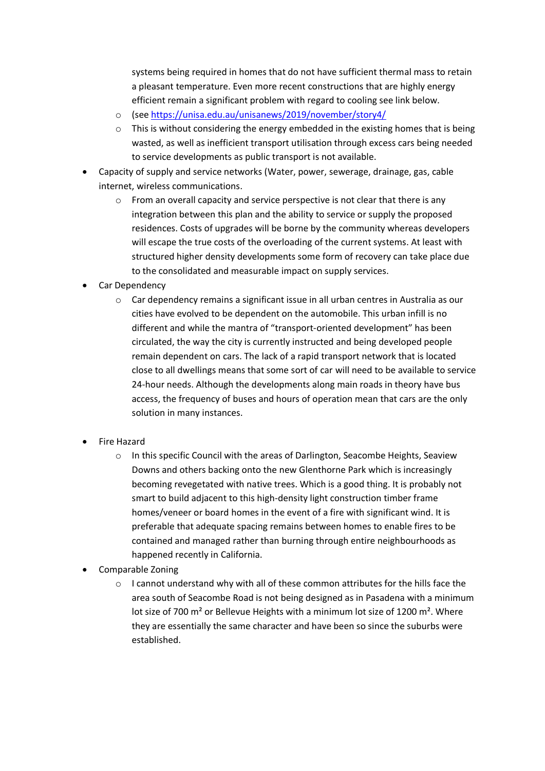systems being required in homes that do not have sufficient thermal mass to retain a pleasant temperature. Even more recent constructions that are highly energy efficient remain a significant problem with regard to cooling see link below.

- o (see<https://unisa.edu.au/unisanews/2019/november/story4/>
- $\circ$  This is without considering the energy embedded in the existing homes that is being wasted, as well as inefficient transport utilisation through excess cars being needed to service developments as public transport is not available.
- Capacity of supply and service networks (Water, power, sewerage, drainage, gas, cable internet, wireless communications.
	- $\circ$  From an overall capacity and service perspective is not clear that there is any integration between this plan and the ability to service or supply the proposed residences. Costs of upgrades will be borne by the community whereas developers will escape the true costs of the overloading of the current systems. At least with structured higher density developments some form of recovery can take place due to the consolidated and measurable impact on supply services.
- Car Dependency
	- o Car dependency remains a significant issue in all urban centres in Australia as our cities have evolved to be dependent on the automobile. This urban infill is no different and while the mantra of "transport-oriented development" has been circulated, the way the city is currently instructed and being developed people remain dependent on cars. The lack of a rapid transport network that is located close to all dwellings means that some sort of car will need to be available to service 24-hour needs. Although the developments along main roads in theory have bus access, the frequency of buses and hours of operation mean that cars are the only solution in many instances.
- Fire Hazard
	- o In this specific Council with the areas of Darlington, Seacombe Heights, Seaview Downs and others backing onto the new Glenthorne Park which is increasingly becoming revegetated with native trees. Which is a good thing. It is probably not smart to build adjacent to this high-density light construction timber frame homes/veneer or board homes in the event of a fire with significant wind. It is preferable that adequate spacing remains between homes to enable fires to be contained and managed rather than burning through entire neighbourhoods as happened recently in California.
- Comparable Zoning
	- $\circ$  I cannot understand why with all of these common attributes for the hills face the area south of Seacombe Road is not being designed as in Pasadena with a minimum lot size of 700 m<sup>2</sup> or Bellevue Heights with a minimum lot size of 1200 m<sup>2</sup>. Where they are essentially the same character and have been so since the suburbs were established.